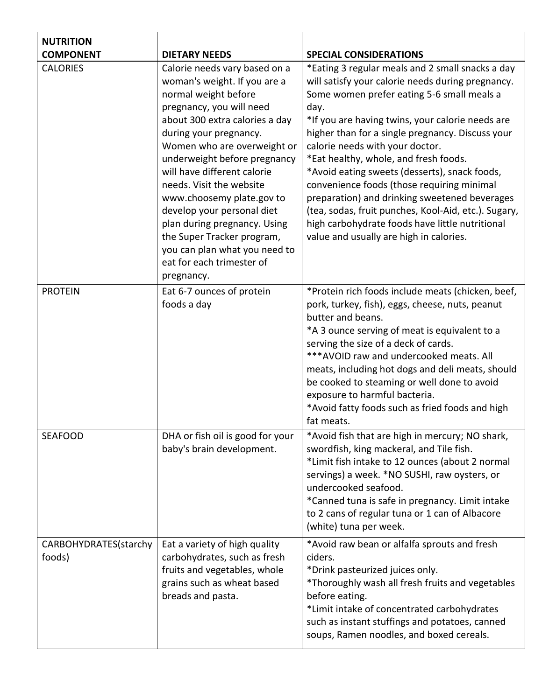| <b>NUTRITION</b>                |                                                                                                                                                                                                                                                                                                                                                                                                                                                                                                              |                                                                                                                                                                                                                                                                                                                                                                                                                                                                                                                                                                                                                                                       |
|---------------------------------|--------------------------------------------------------------------------------------------------------------------------------------------------------------------------------------------------------------------------------------------------------------------------------------------------------------------------------------------------------------------------------------------------------------------------------------------------------------------------------------------------------------|-------------------------------------------------------------------------------------------------------------------------------------------------------------------------------------------------------------------------------------------------------------------------------------------------------------------------------------------------------------------------------------------------------------------------------------------------------------------------------------------------------------------------------------------------------------------------------------------------------------------------------------------------------|
| <b>COMPONENT</b>                | <b>DIETARY NEEDS</b>                                                                                                                                                                                                                                                                                                                                                                                                                                                                                         | <b>SPECIAL CONSIDERATIONS</b>                                                                                                                                                                                                                                                                                                                                                                                                                                                                                                                                                                                                                         |
| <b>CALORIES</b>                 | Calorie needs vary based on a<br>woman's weight. If you are a<br>normal weight before<br>pregnancy, you will need<br>about 300 extra calories a day<br>during your pregnancy.<br>Women who are overweight or<br>underweight before pregnancy<br>will have different calorie<br>needs. Visit the website<br>www.choosemy plate.gov to<br>develop your personal diet<br>plan during pregnancy. Using<br>the Super Tracker program,<br>you can plan what you need to<br>eat for each trimester of<br>pregnancy. | *Eating 3 regular meals and 2 small snacks a day<br>will satisfy your calorie needs during pregnancy.<br>Some women prefer eating 5-6 small meals a<br>day.<br>*If you are having twins, your calorie needs are<br>higher than for a single pregnancy. Discuss your<br>calorie needs with your doctor.<br>*Eat healthy, whole, and fresh foods.<br>*Avoid eating sweets (desserts), snack foods,<br>convenience foods (those requiring minimal<br>preparation) and drinking sweetened beverages<br>(tea, sodas, fruit punches, Kool-Aid, etc.). Sugary,<br>high carbohydrate foods have little nutritional<br>value and usually are high in calories. |
| <b>PROTEIN</b>                  | Eat 6-7 ounces of protein<br>foods a day                                                                                                                                                                                                                                                                                                                                                                                                                                                                     | *Protein rich foods include meats (chicken, beef,<br>pork, turkey, fish), eggs, cheese, nuts, peanut<br>butter and beans.<br>*A 3 ounce serving of meat is equivalent to a<br>serving the size of a deck of cards.<br>*** AVOID raw and undercooked meats. All<br>meats, including hot dogs and deli meats, should<br>be cooked to steaming or well done to avoid<br>exposure to harmful bacteria.<br>*Avoid fatty foods such as fried foods and high<br>fat meats.                                                                                                                                                                                   |
| <b>SEAFOOD</b>                  | DHA or fish oil is good for your<br>baby's brain development.                                                                                                                                                                                                                                                                                                                                                                                                                                                | *Avoid fish that are high in mercury; NO shark,<br>swordfish, king mackeral, and Tile fish.<br>*Limit fish intake to 12 ounces (about 2 normal<br>servings) a week. *NO SUSHI, raw oysters, or<br>undercooked seafood.<br>*Canned tuna is safe in pregnancy. Limit intake<br>to 2 cans of regular tuna or 1 can of Albacore<br>(white) tuna per week.                                                                                                                                                                                                                                                                                                 |
| CARBOHYDRATES(starchy<br>foods) | Eat a variety of high quality<br>carbohydrates, such as fresh<br>fruits and vegetables, whole<br>grains such as wheat based<br>breads and pasta.                                                                                                                                                                                                                                                                                                                                                             | *Avoid raw bean or alfalfa sprouts and fresh<br>ciders.<br>*Drink pasteurized juices only.<br>*Thoroughly wash all fresh fruits and vegetables<br>before eating.<br>*Limit intake of concentrated carbohydrates<br>such as instant stuffings and potatoes, canned<br>soups, Ramen noodles, and boxed cereals.                                                                                                                                                                                                                                                                                                                                         |